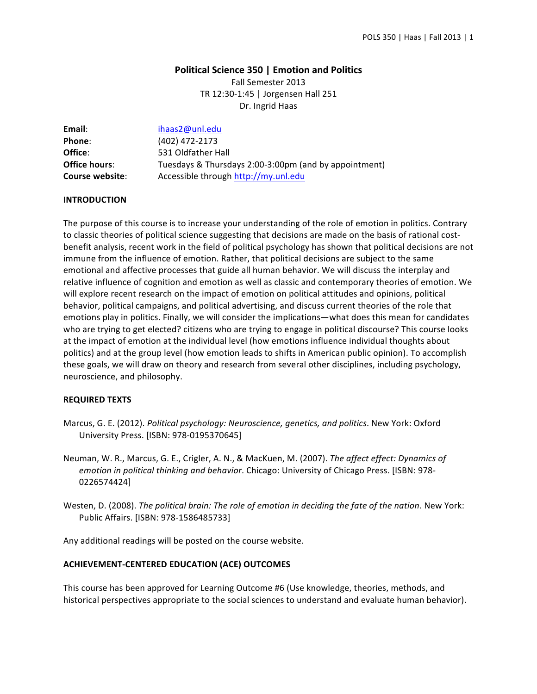# **Political Science 350 | Emotion and Politics**

Fall Semester 2013 TR 12:30-1:45 | Jorgensen Hall 251 Dr. Ingrid Haas

| Email:               | ihaas2@unl.edu                                        |
|----------------------|-------------------------------------------------------|
| Phone:               | (402) 472-2173                                        |
| Office:              | 531 Oldfather Hall                                    |
| <b>Office hours:</b> | Tuesdays & Thursdays 2:00-3:00pm (and by appointment) |
| Course website:      | Accessible through http://my.unl.edu                  |

## **INTRODUCTION**

The purpose of this course is to increase your understanding of the role of emotion in politics. Contrary to classic theories of political science suggesting that decisions are made on the basis of rational costbenefit analysis, recent work in the field of political psychology has shown that political decisions are not immune from the influence of emotion. Rather, that political decisions are subject to the same emotional and affective processes that guide all human behavior. We will discuss the interplay and relative influence of cognition and emotion as well as classic and contemporary theories of emotion. We will explore recent research on the impact of emotion on political attitudes and opinions, political behavior, political campaigns, and political advertising, and discuss current theories of the role that emotions play in politics. Finally, we will consider the implications—what does this mean for candidates who are trying to get elected? citizens who are trying to engage in political discourse? This course looks at the impact of emotion at the individual level (how emotions influence individual thoughts about politics) and at the group level (how emotion leads to shifts in American public opinion). To accomplish these goals, we will draw on theory and research from several other disciplines, including psychology, neuroscience, and philosophy.

#### **REQUIRED TEXTS**

- Marcus, G. E. (2012). *Political psychology: Neuroscience, genetics, and politics*. New York: Oxford University Press. [ISBN: 978-0195370645]
- Neuman, W. R., Marcus, G. E., Crigler, A. N., & MacKuen, M. (2007). *The affect effect: Dynamics of emotion in political thinking and behavior*. Chicago: University of Chicago Press. [ISBN: 978-0226574424]
- Westen, D. (2008). *The political brain: The role of emotion in deciding the fate of the nation*. New York: Public Affairs. [ISBN: 978-1586485733]

Any additional readings will be posted on the course website.

#### **ACHIEVEMENT-CENTERED EDUCATION (ACE) OUTCOMES**

This course has been approved for Learning Outcome #6 (Use knowledge, theories, methods, and historical perspectives appropriate to the social sciences to understand and evaluate human behavior).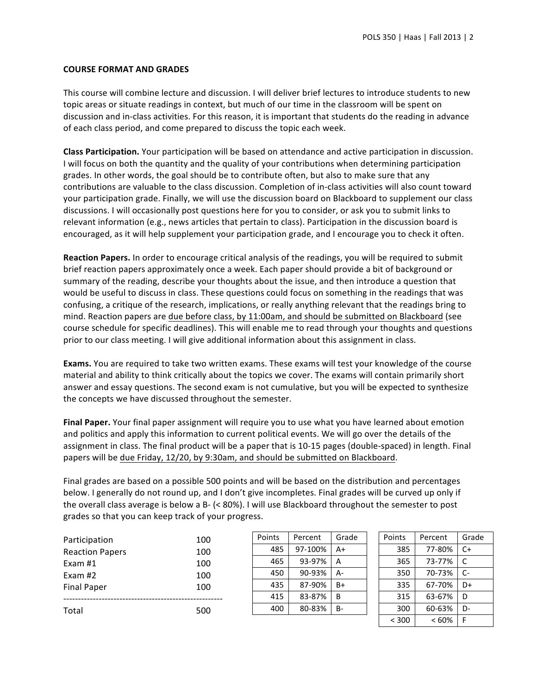## **COURSE FORMAT AND GRADES**

This course will combine lecture and discussion. I will deliver brief lectures to introduce students to new topic areas or situate readings in context, but much of our time in the classroom will be spent on discussion and in-class activities. For this reason, it is important that students do the reading in advance of each class period, and come prepared to discuss the topic each week.

**Class Participation.** Your participation will be based on attendance and active participation in discussion. I will focus on both the quantity and the quality of your contributions when determining participation grades. In other words, the goal should be to contribute often, but also to make sure that any contributions are valuable to the class discussion. Completion of in-class activities will also count toward your participation grade. Finally, we will use the discussion board on Blackboard to supplement our class discussions. I will occasionally post questions here for you to consider, or ask you to submit links to relevant information (e.g., news articles that pertain to class). Participation in the discussion board is encouraged, as it will help supplement your participation grade, and I encourage you to check it often.

Reaction Papers. In order to encourage critical analysis of the readings, you will be required to submit brief reaction papers approximately once a week. Each paper should provide a bit of background or summary of the reading, describe your thoughts about the issue, and then introduce a question that would be useful to discuss in class. These questions could focus on something in the readings that was confusing, a critique of the research, implications, or really anything relevant that the readings bring to mind. Reaction papers are due before class, by 11:00am, and should be submitted on Blackboard (see course schedule for specific deadlines). This will enable me to read through your thoughts and questions prior to our class meeting. I will give additional information about this assignment in class.

**Exams.** You are required to take two written exams. These exams will test your knowledge of the course material and ability to think critically about the topics we cover. The exams will contain primarily short answer and essay questions. The second exam is not cumulative, but you will be expected to synthesize the concepts we have discussed throughout the semester.

Final Paper. Your final paper assignment will require you to use what you have learned about emotion and politics and apply this information to current political events. We will go over the details of the assignment in class. The final product will be a paper that is 10-15 pages (double-spaced) in length. Final papers will be due Friday, 12/20, by 9:30am, and should be submitted on Blackboard.

Final grades are based on a possible 500 points and will be based on the distribution and percentages below. I generally do not round up, and I don't give incompletes. Final grades will be curved up only if the overall class average is below a B- (< 80%). I will use Blackboard throughout the semester to post grades so that you can keep track of your progress.

| Participation          | 100 |
|------------------------|-----|
| <b>Reaction Papers</b> | 100 |
| Exam $#1$              | 100 |
| Fxam #2                | 100 |
| <b>Final Paper</b>     | 100 |
|                        |     |
| Total                  | 500 |

| Points | Percent | Grade |  |
|--------|---------|-------|--|
| 485    | 97-100% | A+    |  |
| 465    | 93-97%  | А     |  |
| 450    | 90-93%  | A-    |  |
| 435    | 87-90%  | B+    |  |
| 415    | 83-87%  | B     |  |
| 400    | 80-83%  | В-    |  |
|        |         |       |  |

| Points | Percent | Grade |  |
|--------|---------|-------|--|
| 385    | 77-80%  | C+    |  |
| 365    | 73-77%  | C     |  |
| 350    | 70-73%  | $C-$  |  |
| 335    | 67-70%  | D+    |  |
| 315    | 63-67%  | D     |  |
| 300    | 60-63%  | D-    |  |
| < 300  | <60%    | F     |  |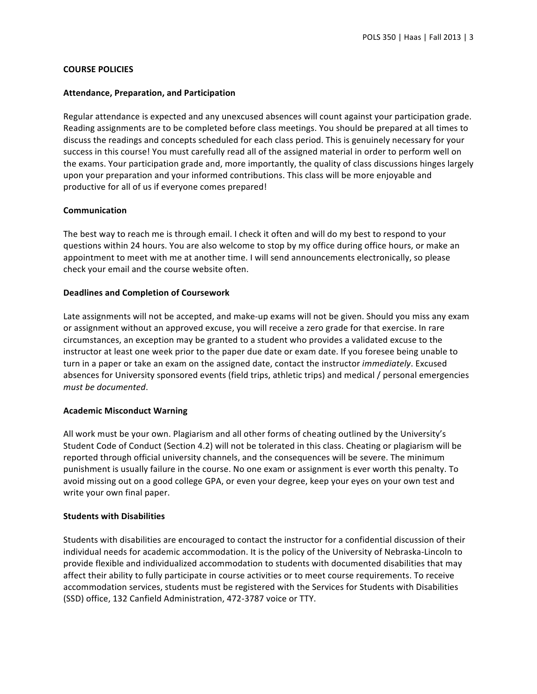## **COURSE POLICIES**

#### **Attendance, Preparation, and Participation**

Regular attendance is expected and any unexcused absences will count against your participation grade. Reading assignments are to be completed before class meetings. You should be prepared at all times to discuss the readings and concepts scheduled for each class period. This is genuinely necessary for your success in this course! You must carefully read all of the assigned material in order to perform well on the exams. Your participation grade and, more importantly, the quality of class discussions hinges largely upon your preparation and your informed contributions. This class will be more enjoyable and productive for all of us if everyone comes prepared!

# **Communication**

The best way to reach me is through email. I check it often and will do my best to respond to your questions within 24 hours. You are also welcome to stop by my office during office hours, or make an appointment to meet with me at another time. I will send announcements electronically, so please check your email and the course website often.

## **Deadlines and Completion of Coursework**

Late assignments will not be accepted, and make-up exams will not be given. Should you miss any exam or assignment without an approved excuse, you will receive a zero grade for that exercise. In rare circumstances, an exception may be granted to a student who provides a validated excuse to the instructor at least one week prior to the paper due date or exam date. If you foresee being unable to turn in a paper or take an exam on the assigned date, contact the instructor *immediately*. Excused absences for University sponsored events (field trips, athletic trips) and medical / personal emergencies must be documented.

#### **Academic Misconduct Warning**

All work must be your own. Plagiarism and all other forms of cheating outlined by the University's Student Code of Conduct (Section 4.2) will not be tolerated in this class. Cheating or plagiarism will be reported through official university channels, and the consequences will be severe. The minimum punishment is usually failure in the course. No one exam or assignment is ever worth this penalty. To avoid missing out on a good college GPA, or even your degree, keep your eyes on your own test and write your own final paper.

# **Students with Disabilities**

Students with disabilities are encouraged to contact the instructor for a confidential discussion of their individual needs for academic accommodation. It is the policy of the University of Nebraska-Lincoln to provide flexible and individualized accommodation to students with documented disabilities that may affect their ability to fully participate in course activities or to meet course requirements. To receive accommodation services, students must be registered with the Services for Students with Disabilities (SSD) office, 132 Canfield Administration, 472-3787 voice or TTY.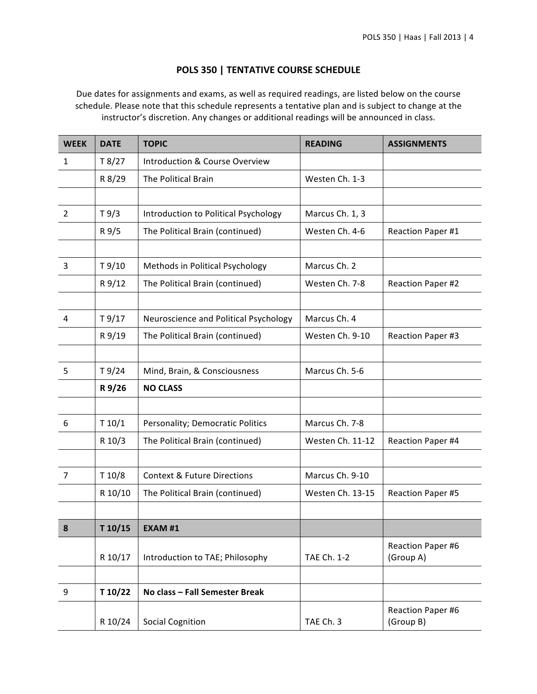# **POLS 350 | TENTATIVE COURSE SCHEDULE**

Due dates for assignments and exams, as well as required readings, are listed below on the course schedule. Please note that this schedule represents a tentative plan and is subject to change at the instructor's discretion. Any changes or additional readings will be announced in class.

| <b>WEEK</b>    | <b>DATE</b> | <b>TOPIC</b>                              | <b>READING</b>   | <b>ASSIGNMENTS</b>             |
|----------------|-------------|-------------------------------------------|------------------|--------------------------------|
| $\mathbf{1}$   | T8/27       | <b>Introduction &amp; Course Overview</b> |                  |                                |
|                | R 8/29      | The Political Brain                       | Westen Ch. 1-3   |                                |
|                |             |                                           |                  |                                |
| $\overline{2}$ | T9/3        | Introduction to Political Psychology      | Marcus Ch. 1, 3  |                                |
|                | R 9/5       | The Political Brain (continued)           | Westen Ch. 4-6   | Reaction Paper #1              |
|                |             |                                           |                  |                                |
| 3              | T9/10       | Methods in Political Psychology           | Marcus Ch. 2     |                                |
|                | R 9/12      | The Political Brain (continued)           | Westen Ch. 7-8   | Reaction Paper #2              |
|                |             |                                           |                  |                                |
| 4              | T9/17       | Neuroscience and Political Psychology     | Marcus Ch. 4     |                                |
|                | R 9/19      | The Political Brain (continued)           | Westen Ch. 9-10  | Reaction Paper #3              |
|                |             |                                           |                  |                                |
| 5              | T9/24       | Mind, Brain, & Consciousness              | Marcus Ch. 5-6   |                                |
|                | R 9/26      | <b>NO CLASS</b>                           |                  |                                |
|                |             |                                           |                  |                                |
| 6              | T 10/1      | Personality; Democratic Politics          | Marcus Ch. 7-8   |                                |
|                | R 10/3      | The Political Brain (continued)           | Westen Ch. 11-12 | Reaction Paper #4              |
|                |             |                                           |                  |                                |
| $\overline{7}$ | T 10/8      | <b>Context &amp; Future Directions</b>    | Marcus Ch. 9-10  |                                |
|                | R 10/10     | The Political Brain (continued)           | Westen Ch. 13-15 | Reaction Paper #5              |
|                |             |                                           |                  |                                |
| 8              | T 10/15     | <b>EXAM #1</b>                            |                  |                                |
|                | R 10/17     | Introduction to TAE; Philosophy           | TAE Ch. 1-2      | Reaction Paper #6<br>(Group A) |
|                |             |                                           |                  |                                |
| 9              | T 10/22     | No class - Fall Semester Break            |                  |                                |
|                | R 10/24     | <b>Social Cognition</b>                   | TAE Ch. 3        | Reaction Paper #6<br>(Group B) |